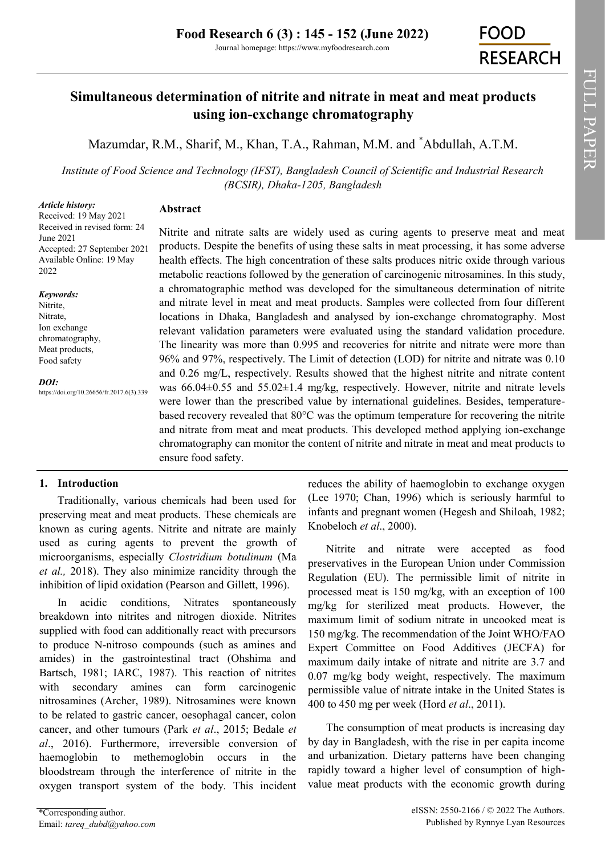# **Simultaneous determination of nitrite and nitrate in meat and meat products using ion-exchange chromatography**

[Mazumdar, R.M.,](https://orcid.org/0000-0002-1074-8288) [Sharif, M.,](https://orcid.org/0000-0003-1552-6972) [Khan, T.A.,](https://orcid.org/0000-0003-3533-0336) [Rahman, M.M.](https://orcid.org/0000-0003-1709-2135) and \*[Abdullah, A.T.M.](https://orcid.org/0000-0003-4868-3640)

*Institute of Food Science and Technology (IFST), Bangladesh Council of Scientific and Industrial Research (BCSIR), Dhaka-1205, Bangladesh*

# *Article history:*

# **Abstract**

Received: 19 May 2021 Received in revised form: 24 June 2021 Accepted: 27 September 2021 Available Online: 19 May 2022

#### *Keywords:*

Nitrite, Nitrate, Ion exchange chromatography, Meat products, Food safety

*DOI:* https://doi.org/10.26656/fr.2017.6(3).339 Nitrite and nitrate salts are widely used as curing agents to preserve meat and meat products. Despite the benefits of using these salts in meat processing, it has some adverse health effects. The high concentration of these salts produces nitric oxide through various metabolic reactions followed by the generation of carcinogenic nitrosamines. In this study, a chromatographic method was developed for the simultaneous determination of nitrite and nitrate level in meat and meat products. Samples were collected from four different locations in Dhaka, Bangladesh and analysed by ion-exchange chromatography. Most relevant validation parameters were evaluated using the standard validation procedure. The linearity was more than 0.995 and recoveries for nitrite and nitrate were more than 96% and 97%, respectively. The Limit of detection (LOD) for nitrite and nitrate was 0.10 and 0.26 mg/L, respectively. Results showed that the highest nitrite and nitrate content was  $66.04\pm0.55$  and  $55.02\pm1.4$  mg/kg, respectively. However, nitrite and nitrate levels were lower than the prescribed value by international guidelines. Besides, temperaturebased recovery revealed that 80°C was the optimum temperature for recovering the nitrite and nitrate from meat and meat products. This developed method applying ion-exchange chromatography can monitor the content of nitrite and nitrate in meat and meat products to ensure food safety.

## **1. Introduction**

Traditionally, various chemicals had been used for preserving meat and meat products. These chemicals are known as curing agents. Nitrite and nitrate are mainly used as curing agents to prevent the growth of microorganisms, especially *Clostridium botulinum* (Ma *et al.,* 2018). They also minimize rancidity through the inhibition of lipid oxidation (Pearson and Gillett, 1996).

In acidic conditions, Nitrates spontaneously breakdown into nitrites and nitrogen dioxide. Nitrites supplied with food can additionally react with precursors to produce N-nitroso compounds (such as amines and amides) in the gastrointestinal tract (Ohshima and Bartsch, 1981; IARC, 1987). This reaction of nitrites with secondary amines can form carcinogenic nitrosamines (Archer, 1989). Nitrosamines were known to be related to gastric cancer, oesophagal cancer, colon cancer, and other tumours (Park *et al*., 2015; Bedale *et al*., 2016). Furthermore, irreversible conversion of haemoglobin to methemoglobin occurs in the bloodstream through the interference of nitrite in the oxygen transport system of the body. This incident

\*Corresponding author. Email: *tareq\_dubd@yahoo.com*  reduces the ability of haemoglobin to exchange oxygen (Lee 1970; Chan, 1996) which is seriously harmful to infants and pregnant women (Hegesh and Shiloah, 1982; Knobeloch *et al*., 2000).

Nitrite and nitrate were accepted as food preservatives in the European Union under Commission Regulation (EU). The permissible limit of nitrite in processed meat is 150 mg/kg, with an exception of 100 mg/kg for sterilized meat products. However, the maximum limit of sodium nitrate in uncooked meat is 150 mg/kg. The recommendation of the Joint WHO/FAO Expert Committee on Food Additives (JECFA) for maximum daily intake of nitrate and nitrite are 3.7 and 0.07 mg/kg body weight, respectively. The maximum permissible value of nitrate intake in the United States is 400 to 450 mg per week (Hord *et al*., 2011).

The consumption of meat products is increasing day by day in Bangladesh, with the rise in per capita income and urbanization. Dietary patterns have been changing rapidly toward a higher level of consumption of highvalue meat products with the economic growth during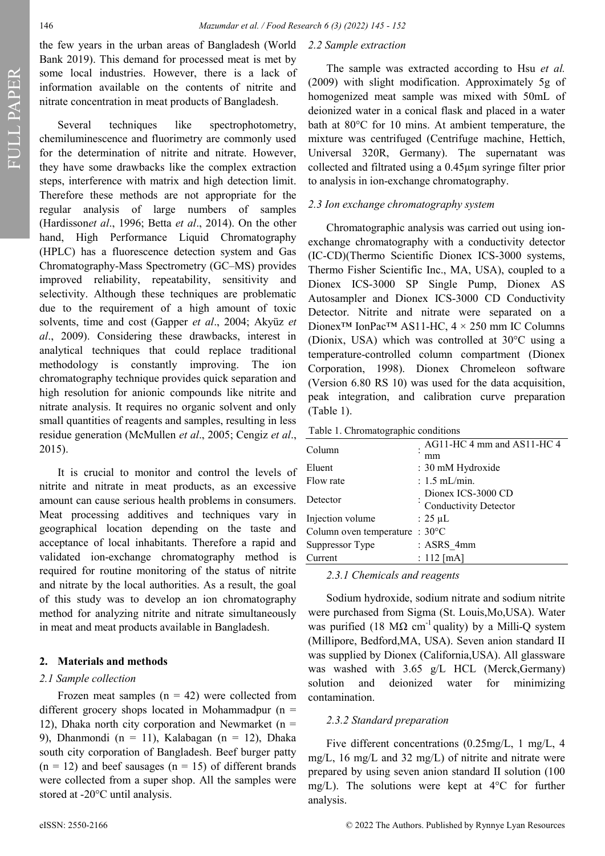*2.2 Sample extraction*

the few years in the urban areas of Bangladesh (World Bank 2019). This demand for processed meat is met by some local industries. However, there is a lack of information available on the contents of nitrite and nitrate concentration in meat products of Bangladesh.

Several techniques like spectrophotometry, chemiluminescence and fluorimetry are commonly used for the determination of nitrite and nitrate. However, they have some drawbacks like the complex extraction steps, interference with matrix and high detection limit. Therefore these methods are not appropriate for the regular analysis of large numbers of samples (Hardisson*et al*., 1996; Betta *et al*., 2014). On the other hand, High Performance Liquid Chromatography (HPLC) has a fluorescence detection system and Gas Chromatography-Mass Spectrometry (GC–MS) provides improved reliability, repeatability, sensitivity and selectivity. Although these techniques are problematic due to the requirement of a high amount of toxic solvents, time and cost (Gapper *et al*., 2004; Akyüz *et al*., 2009). Considering these drawbacks, interest in analytical techniques that could replace traditional methodology is constantly improving. The ion chromatography technique provides quick separation and high resolution for anionic compounds like nitrite and nitrate analysis. It requires no organic solvent and only small quantities of reagents and samples, resulting in less residue generation (McMullen *et al*., 2005; Cengiz *et al*., 2015).

It is crucial to monitor and control the levels of nitrite and nitrate in meat products, as an excessive amount can cause serious health problems in consumers. Meat processing additives and techniques vary in geographical location depending on the taste and acceptance of local inhabitants. Therefore a rapid and validated ion-exchange chromatography method is required for routine monitoring of the status of nitrite and nitrate by the local authorities. As a result, the goal of this study was to develop an ion chromatography method for analyzing nitrite and nitrate simultaneously in meat and meat products available in Bangladesh.

### **2. Materials and methods**

### *2.1 Sample collection*

Frozen meat samples  $(n = 42)$  were collected from different grocery shops located in Mohammadpur ( $n =$ 12), Dhaka north city corporation and Newmarket ( $n =$ 9), Dhanmondi (n = 11), Kalabagan (n = 12), Dhaka south city corporation of Bangladesh. Beef burger patty  $(n = 12)$  and beef sausages  $(n = 15)$  of different brands were collected from a super shop. All the samples were stored at -20°C until analysis.

The sample was extracted according to Hsu *et al.* (2009) with slight modification. Approximately 5g of homogenized meat sample was mixed with 50mL of deionized water in a conical flask and placed in a water bath at 80°C for 10 mins. At ambient temperature, the mixture was centrifuged (Centrifuge machine, Hettich, Universal 320R, Germany). The supernatant was collected and filtrated using a 0.45μm syringe filter prior to analysis in ion-exchange chromatography.

# *2.3 Ion exchange chromatography system*

Chromatographic analysis was carried out using ionexchange chromatography with a conductivity detector (IC-CD)(Thermo Scientific Dionex ICS-3000 systems, Thermo Fisher Scientific Inc., MA, USA), coupled to a Dionex ICS-3000 SP Single Pump, Dionex AS Autosampler and Dionex ICS-3000 CD Conductivity Detector. Nitrite and nitrate were separated on a Dionex™ IonPac™ AS11-HC, 4 × 250 mm IC Columns (Dionix, USA) which was controlled at 30°C using a temperature-controlled column compartment (Dionex Corporation, 1998). Dionex Chromeleon software (Version 6.80 RS 10) was used for the data acquisition, peak integration, and calibration curve preparation (Table 1).

Table 1. Chromatographic conditions

| Column                                   | AG11-HC 4 mm and AS11-HC 4<br>mm                   |
|------------------------------------------|----------------------------------------------------|
| Eluent                                   | : 30 mM Hydroxide                                  |
| Flow rate                                | $: 1.5$ mL/min.                                    |
| Detector                                 | Dionex ICS-3000 CD<br><b>Conductivity Detector</b> |
| Injection volume                         | $: 25 \mu L$                                       |
| Column oven temperature : $30^{\circ}$ C |                                                    |
| Suppressor Type                          | : ASRS 4mm                                         |
| Current                                  | : $112$ [mA]                                       |
|                                          |                                                    |

*2.3.1 Chemicals and reagents*

Sodium hydroxide, sodium nitrate and sodium nitrite were purchased from Sigma (St. Louis,Mo,USA). Water was purified (18 M $\Omega$  cm<sup>-1</sup> quality) by a Milli-Q system (Millipore, Bedford,MA, USA). Seven anion standard II was supplied by Dionex (California,USA). All glassware was washed with 3.65 g/L HCL (Merck,Germany) solution and deionized water for minimizing contamination.

# *2.3.2 Standard preparation*

Five different concentrations (0.25mg/L, 1 mg/L, 4 mg/L, 16 mg/L and 32 mg/L) of nitrite and nitrate were prepared by using seven anion standard II solution (100 mg/L). The solutions were kept at 4°C for further analysis.

FULL PAPER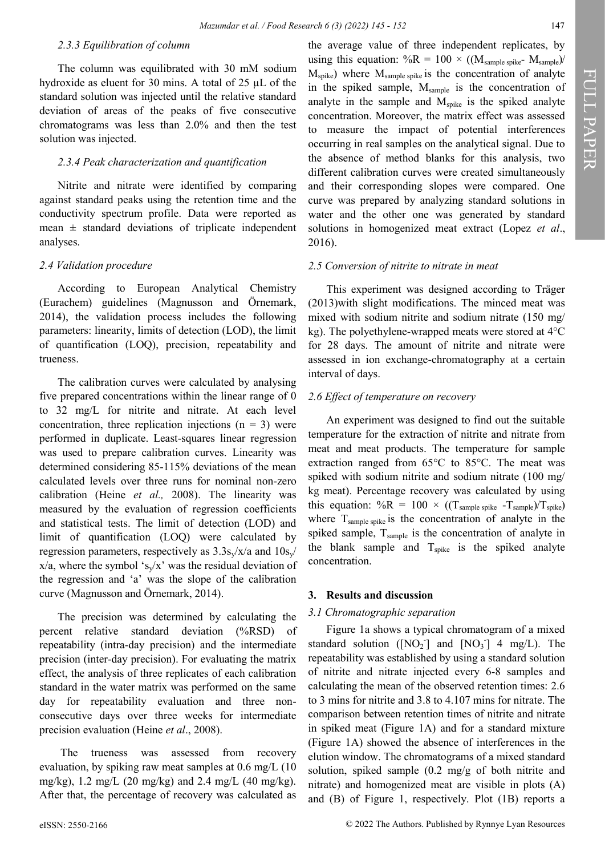2016).

#### *2.3.3 Equilibration of column*

The column was equilibrated with 30 mM sodium hydroxide as eluent for 30 mins. A total of 25 µL of the standard solution was injected until the relative standard deviation of areas of the peaks of five consecutive chromatograms was less than 2.0% and then the test solution was injected.

### *2.3.4 Peak characterization and quantification*

Nitrite and nitrate were identified by comparing against standard peaks using the retention time and the conductivity spectrum profile. Data were reported as mean  $\pm$  standard deviations of triplicate independent analyses.

#### *2.4 Validation procedure*

According to European Analytical Chemistry (Eurachem) guidelines (Magnusson and Örnemark, 2014), the validation process includes the following parameters: linearity, limits of detection (LOD), the limit of quantification (LOQ), precision, repeatability and trueness.

The calibration curves were calculated by analysing five prepared concentrations within the linear range of 0 to 32 mg/L for nitrite and nitrate. At each level concentration, three replication injections  $(n = 3)$  were performed in duplicate. Least-squares linear regression was used to prepare calibration curves. Linearity was determined considering 85-115% deviations of the mean calculated levels over three runs for nominal non-zero calibration (Heine *et al.,* 2008). The linearity was measured by the evaluation of regression coefficients and statistical tests. The limit of detection (LOD) and limit of quantification (LOQ) were calculated by regression parameters, respectively as  $3.3s\sqrt{x/a}$  and  $10s\sqrt{x/a}$  $x/a$ , where the symbol 's<sub>y</sub>/x' was the residual deviation of the regression and 'a' was the slope of the calibration curve (Magnusson and Örnemark, 2014).

The precision was determined by calculating the percent relative standard deviation (%RSD) of repeatability (intra-day precision) and the intermediate precision (inter-day precision). For evaluating the matrix effect, the analysis of three replicates of each calibration standard in the water matrix was performed on the same day for repeatability evaluation and three nonconsecutive days over three weeks for intermediate precision evaluation (Heine *et al*., 2008).

The trueness was assessed from recovery evaluation, by spiking raw meat samples at 0.6 mg/L (10 mg/kg), 1.2 mg/L (20 mg/kg) and 2.4 mg/L (40 mg/kg). After that, the percentage of recovery was calculated as the average value of three independent replicates, by using this equation:  $\%R = 100 \times ((M_{sample\ spike} - M_{sample})/$  $M<sub>spike</sub>$ ) where  $M<sub>sample spike</sub>$  is the concentration of analyte in the spiked sample, M<sub>sample</sub> is the concentration of analyte in the sample and  $M_{spike}$  is the spiked analyte concentration. Moreover, the matrix effect was assessed to measure the impact of potential interferences occurring in real samples on the analytical signal. Due to the absence of method blanks for this analysis, two different calibration curves were created simultaneously and their corresponding slopes were compared. One curve was prepared by analyzing standard solutions in water and the other one was generated by standard solutions in homogenized meat extract (Lopez *et al*.,

#### *2.5 Conversion of nitrite to nitrate in meat*

This experiment was designed according to Träger (2013)with slight modifications. The minced meat was mixed with sodium nitrite and sodium nitrate (150 mg/ kg). The polyethylene-wrapped meats were stored at 4°C for 28 days. The amount of nitrite and nitrate were assessed in ion exchange-chromatography at a certain interval of days.

#### *2.6 Effect of temperature on recovery*

An experiment was designed to find out the suitable temperature for the extraction of nitrite and nitrate from meat and meat products. The temperature for sample extraction ranged from 65°C to 85°C. The meat was spiked with sodium nitrite and sodium nitrate (100 mg/ kg meat). Percentage recovery was calculated by using this equation:  $\%R = 100 \times ((T_{sample\ spike} - T_{sample})/T_{spike})$ where  $T_{sample spike}$  is the concentration of analyte in the spiked sample,  $T_{\text{sample}}$  is the concentration of analyte in the blank sample and  $T_{\text{spike}}$  is the spiked analyte concentration.

#### **3. Results and discussion**

#### *3.1 Chromatographic separation*

Figure 1a shows a typical chromatogram of a mixed standard solution ( $[NO_2]$  and  $[NO_3]$  4 mg/L). The repeatability was established by using a standard solution of nitrite and nitrate injected every 6-8 samples and calculating the mean of the observed retention times: 2.6 to 3 mins for nitrite and 3.8 to 4.107 mins for nitrate. The comparison between retention times of nitrite and nitrate in spiked meat (Figure 1A) and for a standard mixture (Figure 1A) showed the absence of interferences in the elution window. The chromatograms of a mixed standard solution, spiked sample (0.2 mg/g of both nitrite and nitrate) and homogenized meat are visible in plots (A) and (B) of Figure 1, respectively. Plot (1B) reports a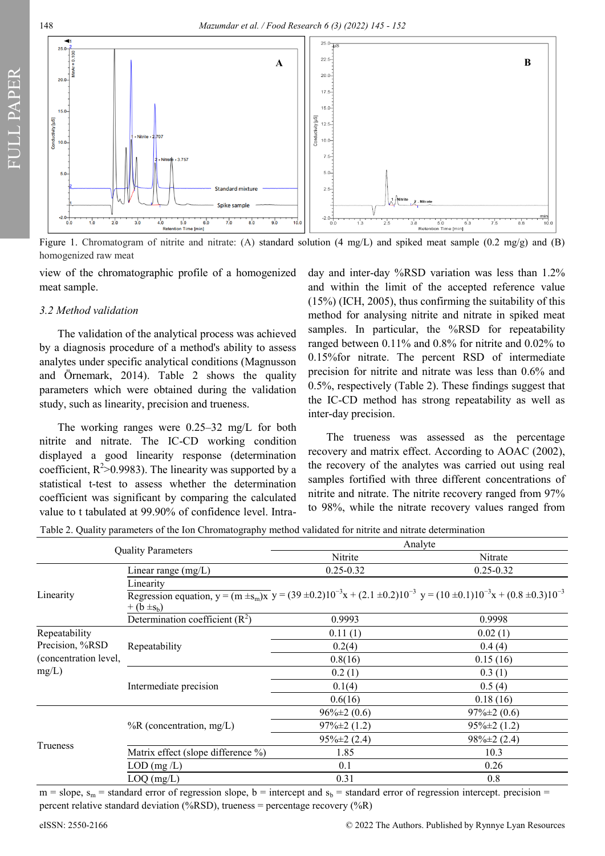

Figure 1. Chromatogram of nitrite and nitrate: (A) standard solution (4 mg/L) and spiked meat sample (0.2 mg/g) and (B) homogenized raw meat

view of the chromatographic profile of a homogenized meat sample.

#### *3.2 Method validation*

FULL PAPER

The validation of the analytical process was achieved by a diagnosis procedure of a method's ability to assess analytes under specific analytical conditions (Magnusson and Örnemark, 2014). Table 2 shows the quality parameters which were obtained during the validation study, such as linearity, precision and trueness.

The working ranges were 0.25–32 mg/L for both nitrite and nitrate. The IC-CD working condition displayed a good linearity response (determination coefficient,  $R^2 > 0.9983$ ). The linearity was supported by a statistical t-test to assess whether the determination coefficient was significant by comparing the calculated value to t tabulated at 99.90% of confidence level. Intraday and inter-day %RSD variation was less than 1.2% and within the limit of the accepted reference value (15%) (ICH, 2005), thus confirming the suitability of this method for analysing nitrite and nitrate in spiked meat samples. In particular, the %RSD for repeatability ranged between 0.11% and 0.8% for nitrite and 0.02% to 0.15%for nitrate. The percent RSD of intermediate precision for nitrite and nitrate was less than 0.6% and 0.5%, respectively (Table 2). These findings suggest that the IC-CD method has strong repeatability as well as inter-day precision.

The trueness was assessed as the percentage recovery and matrix effect. According to AOAC (2002), the recovery of the analytes was carried out using real samples fortified with three different concentrations of nitrite and nitrate. The nitrite recovery ranged from 97% to 98%, while the nitrate recovery values ranged from

Table 2. Quality parameters of the Ion Chromatography method validated for nitrite and nitrate determination

| <b>Quality Parameters</b>                                                                    |                                                                                                                                                            | Analyte           |                   |  |
|----------------------------------------------------------------------------------------------|------------------------------------------------------------------------------------------------------------------------------------------------------------|-------------------|-------------------|--|
|                                                                                              |                                                                                                                                                            | Nitrite           | Nitrate           |  |
|                                                                                              | Linear range $(mg/L)$                                                                                                                                      | $0.25 - 0.32$     | $0.25 - 0.32$     |  |
|                                                                                              | Linearity                                                                                                                                                  |                   |                   |  |
| Linearity                                                                                    | Regression equation, $y = (m \pm s_m)x$ $y = (39 \pm 0.2)10^{-3}x + (2.1 \pm 0.2)10^{-3}y = (10 \pm 0.1)10^{-3}x + (0.8 \pm 0.3)10^{-3}$<br>$+(b \pm s_b)$ |                   |                   |  |
|                                                                                              | Determination coefficient $(R^2)$                                                                                                                          | 0.9993            | 0.9998            |  |
| Repeatability                                                                                |                                                                                                                                                            | 0.11(1)           | 0.02(1)           |  |
| Precision, %RSD<br>Repeatability<br>(concentration level,<br>mg/L)<br>Intermediate precision |                                                                                                                                                            | 0.2(4)            | 0.4(4)            |  |
|                                                                                              |                                                                                                                                                            | 0.8(16)           | 0.15(16)          |  |
|                                                                                              |                                                                                                                                                            | 0.2(1)            | 0.3(1)            |  |
|                                                                                              |                                                                                                                                                            | 0.1(4)            | 0.5(4)            |  |
|                                                                                              |                                                                                                                                                            | 0.6(16)           | 0.18(16)          |  |
| Trueness                                                                                     |                                                                                                                                                            | $96\% \pm 2(0.6)$ | $97\% \pm 2(0.6)$ |  |
|                                                                                              | $%R$ (concentration, mg/L)                                                                                                                                 | $97\% \pm 2(1.2)$ | $95\% \pm 2(1.2)$ |  |
|                                                                                              |                                                                                                                                                            | $95\% \pm 2(2.4)$ | $98\% \pm 2(2.4)$ |  |
|                                                                                              | Matrix effect (slope difference %)                                                                                                                         | 1.85              | 10.3              |  |
|                                                                                              | $LOD$ (mg/ $L$ )                                                                                                                                           | 0.1               | 0.26              |  |
| $LOQ$ (mg/L)                                                                                 |                                                                                                                                                            | 0.31              | 0.8               |  |

 $m =$  slope,  $s_m$  = standard error of regression slope, b = intercept and  $s_b$  = standard error of regression intercept. precision = percent relative standard deviation (%RSD), trueness = percentage recovery (%R)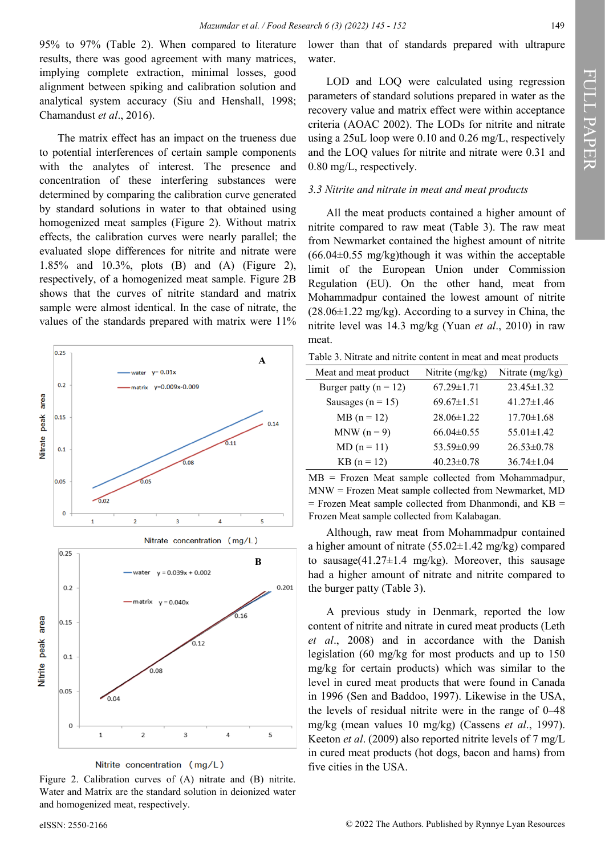95% to 97% (Table 2). When compared to literature results, there was good agreement with many matrices, implying complete extraction, minimal losses, good alignment between spiking and calibration solution and analytical system accuracy (Siu and Henshall, 1998; Chamandust *et al*., 2016).

The matrix effect has an impact on the trueness due to potential interferences of certain sample components with the analytes of interest. The presence and concentration of these interfering substances were determined by comparing the calibration curve generated by standard solutions in water to that obtained using homogenized meat samples (Figure 2). Without matrix effects, the calibration curves were nearly parallel; the evaluated slope differences for nitrite and nitrate were 1.85% and 10.3%, plots (B) and (A) (Figure 2), respectively, of a homogenized meat sample. Figure 2B shows that the curves of nitrite standard and matrix sample were almost identical. In the case of nitrate, the values of the standards prepared with matrix were 11%



Nitrite concentration (mg/L)

Figure 2. Calibration curves of (A) nitrate and (B) nitrite. Water and Matrix are the standard solution in deionized water and homogenized meat, respectively.

lower than that of standards prepared with ultrapure water.

LOD and LOQ were calculated using regression parameters of standard solutions prepared in water as the recovery value and matrix effect were within acceptance criteria (AOAC 2002). The LODs for nitrite and nitrate using a 25uL loop were 0.10 and 0.26 mg/L, respectively and the LOQ values for nitrite and nitrate were 0.31 and 0.80 mg/L, respectively.

#### *3.3 Nitrite and nitrate in meat and meat products*

All the meat products contained a higher amount of nitrite compared to raw meat (Table 3). The raw meat from Newmarket contained the highest amount of nitrite  $(66.04\pm0.55 \text{ mg/kg})$ though it was within the acceptable limit of the European Union under Commission Regulation (EU). On the other hand, meat from Mohammadpur contained the lowest amount of nitrite  $(28.06\pm1.22 \text{ mg/kg})$ . According to a survey in China, the nitrite level was 14.3 mg/kg (Yuan *et al*., 2010) in raw meat.

| Meat and meat product     | Nitrite $(mg/kg)$ | Nitrate (mg/kg)  |
|---------------------------|-------------------|------------------|
| Burger patty ( $n = 12$ ) | $67.29 \pm 1.71$  | $23.45 \pm 1.32$ |
| Sausages ( $n = 15$ )     | $69.67 \pm 1.51$  | $41.27 \pm 1.46$ |
| $MB (n = 12)$             | $28.06 \pm 1.22$  | $17.70 \pm 1.68$ |
| $MNW(n=9)$                | $66.04\pm0.55$    | $55.01 \pm 1.42$ |
| $MD (n = 11)$             | 53.59±0.99        | $26.53 \pm 0.78$ |
| $KB (n = 12)$             | $40.23 \pm 0.78$  | $36.74 \pm 1.04$ |

MB = Frozen Meat sample collected from Mohammadpur, MNW = Frozen Meat sample collected from Newmarket, MD  $=$  Frozen Meat sample collected from Dhanmondi, and  $KB =$ Frozen Meat sample collected from Kalabagan.

Although, raw meat from Mohammadpur contained a higher amount of nitrate  $(55.02 \pm 1.42 \text{ mg/kg})$  compared to sausage(41.27 $\pm$ 1.4 mg/kg). Moreover, this sausage had a higher amount of nitrate and nitrite compared to the burger patty (Table 3).

A previous study in Denmark, reported the low content of nitrite and nitrate in cured meat products (Leth *et al*., 2008) and in accordance with the Danish legislation (60 mg/kg for most products and up to 150 mg/kg for certain products) which was similar to the level in cured meat products that were found in Canada in 1996 (Sen and Baddoo, 1997). Likewise in the USA, the levels of residual nitrite were in the range of 0–48 mg/kg (mean values 10 mg/kg) (Cassens *et al*., 1997). Keeton *et al*. (2009) also reported nitrite levels of 7 mg/L in cured meat products (hot dogs, bacon and hams) from five cities in the USA.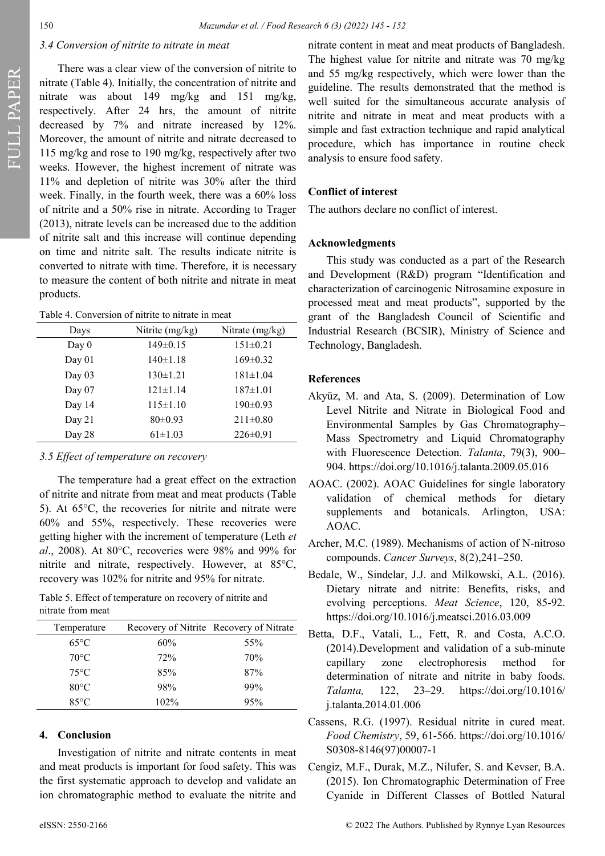FULL PAPER

#### *3.4 Conversion of nitrite to nitrate in meat*

There was a clear view of the conversion of nitrite to nitrate (Table 4). Initially, the concentration of nitrite and nitrate was about 149 mg/kg and 151 mg/kg, respectively. After 24 hrs, the amount of nitrite decreased by 7% and nitrate increased by 12%. Moreover, the amount of nitrite and nitrate decreased to 115 mg/kg and rose to 190 mg/kg, respectively after two weeks. However, the highest increment of nitrate was 11% and depletion of nitrite was 30% after the third week. Finally, in the fourth week, there was a 60% loss of nitrite and a 50% rise in nitrate. According to Trager (2013), nitrate levels can be increased due to the addition of nitrite salt and this increase will continue depending on time and nitrite salt. The results indicate nitrite is converted to nitrate with time. Therefore, it is necessary to measure the content of both nitrite and nitrate in meat products.

Table 4. Conversion of nitrite to nitrate in meat

| Days     | Nitrite $(mg/kg)$ | Nitrate $(mg/kg)$ |
|----------|-------------------|-------------------|
| Day $0$  | $149 \pm 0.15$    | $151 \pm 0.21$    |
| Day $01$ | $140 \pm 1.18$    | $169 \pm 0.32$    |
| Day $03$ | $130 \pm 1.21$    | $181 \pm 1.04$    |
| Day $07$ | $121 \pm 1.14$    | $187 \pm 1.01$    |
| Day 14   | $115 \pm 1.10$    | $190 \pm 0.93$    |
| Day 21   | $80 \pm 0.93$     | $211\pm0.80$      |
| Day 28   | $61 \pm 1.03$     | $226 \pm 0.91$    |
|          |                   |                   |

#### *3.5 Effect of temperature on recovery*

The temperature had a great effect on the extraction of nitrite and nitrate from meat and meat products (Table 5). At 65°C, the recoveries for nitrite and nitrate were 60% and 55%, respectively. These recoveries were getting higher with the increment of temperature (Leth *et al*., 2008). At 80°C, recoveries were 98% and 99% for nitrite and nitrate, respectively. However, at 85°C, recovery was 102% for nitrite and 95% for nitrate.

Table 5. Effect of temperature on recovery of nitrite and nitrate from meat

| Temperature    |         | Recovery of Nitrite Recovery of Nitrate |
|----------------|---------|-----------------------------------------|
| $65^{\circ}$ C | 60%     | 55%                                     |
| $70^{\circ}$ C | 72%     | 70%                                     |
| $75^{\circ}$ C | 85%     | 87%                                     |
| $80^{\circ}$ C | 98%     | 99%                                     |
| $85^{\circ}$ C | $102\%$ | 95%                                     |

#### **4. Conclusion**

Investigation of nitrite and nitrate contents in meat and meat products is important for food safety. This was the first systematic approach to develop and validate an ion chromatographic method to evaluate the nitrite and

nitrate content in meat and meat products of Bangladesh. The highest value for nitrite and nitrate was 70 mg/kg and 55 mg/kg respectively, which were lower than the guideline. The results demonstrated that the method is well suited for the simultaneous accurate analysis of nitrite and nitrate in meat and meat products with a simple and fast extraction technique and rapid analytical procedure, which has importance in routine check analysis to ensure food safety.

#### **Conflict of interest**

The authors declare no conflict of interest.

#### **Acknowledgments**

This study was conducted as a part of the Research and Development (R&D) program "Identification and characterization of carcinogenic Nitrosamine exposure in processed meat and meat products", supported by the grant of the Bangladesh Council of Scientific and Industrial Research (BCSIR), Ministry of Science and Technology, Bangladesh.

#### **References**

- Akyüz, M. and Ata, S. (2009). Determination of Low Level Nitrite and Nitrate in Biological Food and Environmental Samples by Gas Chromatography– Mass Spectrometry and Liquid Chromatography with Fluorescence Detection. *Talanta*, 79(3), 900– 904. https://doi.org/10.1016/j.talanta.2009.05.016
- AOAC. (2002). AOAC Guidelines for single laboratory validation of chemical methods for dietary supplements and botanicals. Arlington, USA: AOAC.
- Archer, M.C. (1989). Mechanisms of action of N-nitroso compounds. *Cancer Surveys*, 8(2),241–250.
- Bedale, W., Sindelar, J.J. and Milkowski, A.L. (2016). Dietary nitrate and nitrite: Benefits, risks, and evolving perceptions. *Meat Science*, 120, 85-92. https://doi.org/10.1016/j.meatsci.2016.03.009
- Betta, D.F., Vatali, L., Fett, R. and Costa, A.C.O. (2014).Development and validation of a sub-minute capillary zone electrophoresis method for determination of nitrate and nitrite in baby foods. *Talanta,* 122, 23–29. https://doi.org/10.1016/ j.talanta.2014.01.006
- Cassens, R.G. (1997). Residual nitrite in cured meat. *Food Chemistry*, 59, 61-566. https://doi.org/10.1016/ S0308-8146(97)00007-1
- Cengiz, M.F., Durak, M.Z., Nilufer, S. and Kevser, B.A. (2015). Ion Chromatographic Determination of Free Cyanide in Different Classes of Bottled Natural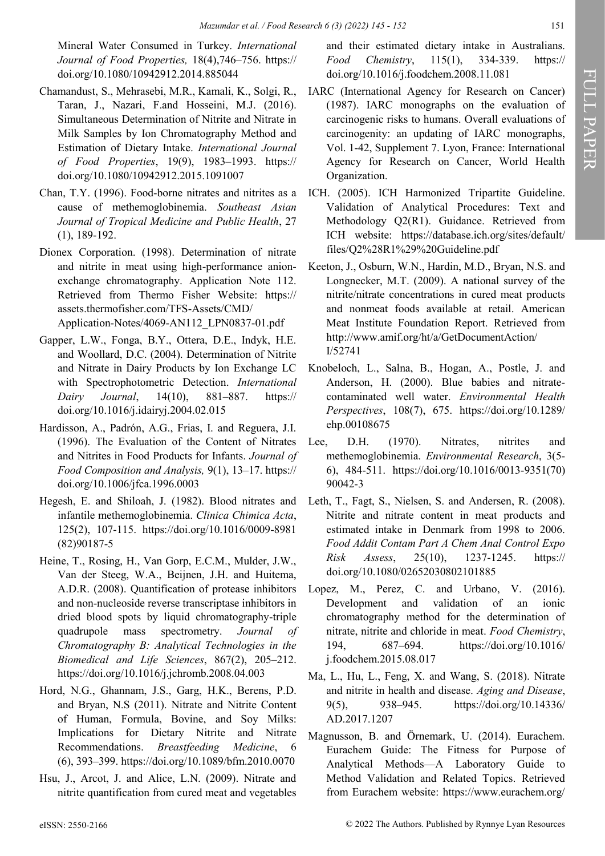Mineral Water Consumed in Turkey. *International Journal of Food Properties,* 18(4),746–756. https:// doi.org/10.1080/10942912.2014.885044

- Chamandust, S., Mehrasebi, M.R., Kamali, K., Solgi, R., Taran, J., Nazari, F.and Hosseini, M.J. (2016). Simultaneous Determination of Nitrite and Nitrate in Milk Samples by Ion Chromatography Method and Estimation of Dietary Intake. *International Journal of Food Properties*, 19(9), 1983–1993. https:// doi.org/10.1080/10942912.2015.1091007
- Chan, T.Y. (1996). Food-borne nitrates and nitrites as a cause of methemoglobinemia. *Southeast Asian Journal of Tropical Medicine and Public Health*, 27 (1), 189-192.
- Dionex Corporation. (1998). Determination of nitrate and nitrite in meat using high-performance anionexchange chromatography. Application Note 112. Retrieved from Thermo Fisher Website: https:// assets.thermofisher.com/TFS-Assets/CMD/ Application-Notes/4069-AN112\_LPN0837-01.pdf
- Gapper, L.W., Fonga, B.Y., Ottera, D.E., Indyk, H.E. and Woollard, D.C. (2004). Determination of Nitrite and Nitrate in Dairy Products by Ion Exchange LC with Spectrophotometric Detection. *International Dairy Journal*, 14(10), 881–887. https:// doi.org/10.1016/j.idairyj.2004.02.015
- Hardisson, A., Padrón, A.G., Frias, I. and Reguera, J.I. (1996). The Evaluation of the Content of Nitrates and Nitrites in Food Products for Infants. *Journal of Food Composition and Analysis,* 9(1), 13–17. https:// doi.org/10.1006/jfca.1996.0003
- Hegesh, E. and Shiloah, J. (1982). Blood nitrates and infantile methemoglobinemia. *Clinica Chimica Acta*, 125(2), 107-115. https://doi.org/10.1016/0009-8981 (82)90187-5
- Heine, T., Rosing, H., Van Gorp, E.C.M., Mulder, J.W., Van der Steeg, W.A., Beijnen, J.H. and Huitema, A.D.R. (2008). Quantification of protease inhibitors and non-nucleoside reverse transcriptase inhibitors in dried blood spots by liquid chromatography-triple quadrupole mass spectrometry. *Journal of Chromatography B: Analytical Technologies in the Biomedical and Life Sciences*, 867(2), 205–212. https://doi.org/10.1016/j.jchromb.2008.04.003
- Hord, N.G., Ghannam, J.S., Garg, H.K., Berens, P.D. and Bryan, N.S (2011). Nitrate and Nitrite Content of Human, Formula, Bovine, and Soy Milks: Implications for Dietary Nitrite and Nitrate Recommendations. *Breastfeeding Medicine*, 6 (6), 393–399. https://doi.org/10.1089/bfm.2010.0070
- Hsu, J., Arcot, J. and Alice, L.N. (2009). Nitrate and nitrite quantification from cured meat and vegetables

and their estimated dietary intake in Australians. *Food Chemistry*, 115(1), 334-339. https:// doi.org/10.1016/j.foodchem.2008.11.081

- IARC (International Agency for Research on Cancer) (1987). IARC monographs on the evaluation of carcinogenic risks to humans. Overall evaluations of carcinogenity: an updating of IARC monographs, Vol. 1-42, Supplement 7. Lyon, France: International Agency for Research on Cancer, World Health Organization.
- ICH. (2005). ICH Harmonized Tripartite Guideline. Validation of Analytical Procedures: Text and Methodology Q2(R1). Guidance. Retrieved from ICH website: https://database.ich.org/sites/default/ files/Q2%28R1%29%20Guideline.pdf
- Keeton, J., Osburn, W.N., Hardin, M.D., Bryan, N.S. and Longnecker, M.T. (2009). A national survey of the nitrite/nitrate concentrations in cured meat products and nonmeat foods available at retail. American Meat Institute Foundation Report. Retrieved from http://www.amif.org/ht/a/GetDocumentAction/ I/52741
- Knobeloch, L., Salna, B., Hogan, A., Postle, J. and Anderson, H. (2000). Blue babies and nitratecontaminated well water. *Environmental Health Perspectives*, 108(7), 675. https://doi.org/10.1289/ ehp.00108675
- Lee, D.H. (1970). Nitrates, nitrites and methemoglobinemia. *Environmental Research*, 3(5- 6), 484-511. https://doi.org/10.1016/0013-9351(70) 90042-3
- Leth, T., Fagt, S., Nielsen, S. and Andersen, R. (2008). Nitrite and nitrate content in meat products and estimated intake in Denmark from 1998 to 2006. *Food Addit Contam Part A Chem Anal Control Expo Risk Assess*, 25(10), 1237-1245. https:// doi.org/10.1080/02652030802101885
- Lopez, M., Perez, C. and Urbano, V. (2016). Development and validation of an ionic chromatography method for the determination of nitrate, nitrite and chloride in meat. *Food Chemistry*, 194, 687–694. https://doi.org/10.1016/ j.foodchem.2015.08.017
- Ma, L., Hu, L., Feng, X. and Wang, S. (2018). Nitrate and nitrite in health and disease. *Aging and Disease*, 9(5), 938–945. https://doi.org/10.14336/ AD.2017.1207
- Magnusson, B. and Örnemark, U. (2014). Eurachem. Eurachem Guide: The Fitness for Purpose of Analytical Methods—A Laboratory Guide to Method Validation and Related Topics. Retrieved from Eurachem website: https://www.eurachem.org/